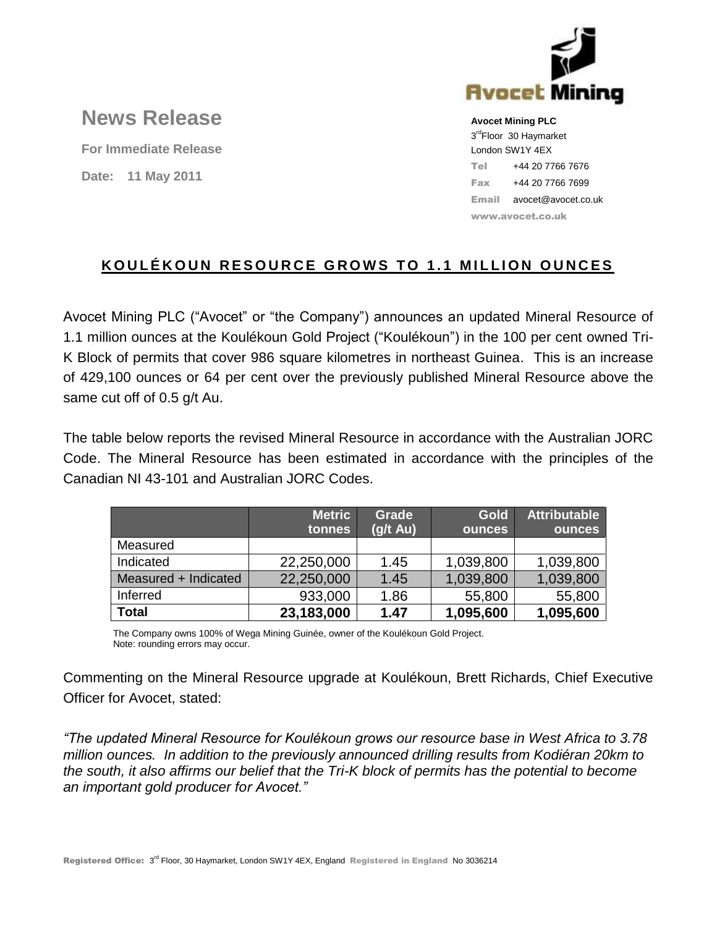

# **News Release**

**For Immediate Release Date: 11 May 2011**

**Avocet Mining PLC** 3<sup>rd</sup>Floor 30 Haymarket London SW1Y 4EX Tel +44 20 7766 7676 Fax +44 20 7766 7699 Email avocet@avocet.co.uk www.avocet.co.uk

# **KOULÉKOUN RESOURCE GROWS TO 1.1 MILLION OUNCES**

Avocet Mining PLC ("Avocet" or "the Company") announces an updated Mineral Resource of 1.1 million ounces at the Koulékoun Gold Project ("Koulékoun") in the 100 per cent owned Tri-K Block of permits that cover 986 square kilometres in northeast Guinea. This is an increase of 429,100 ounces or 64 per cent over the previously published Mineral Resource above the same cut off of 0.5 g/t Au.

The table below reports the revised Mineral Resource in accordance with the Australian JORC Code. The Mineral Resource has been estimated in accordance with the principles of the Canadian NI 43-101 and Australian JORC Codes.

|                      | <b>Metric</b><br>tonnes | <b>Grade</b><br>$(g/t \text{ Au})$ | <b>Gold</b><br><b>ounces</b> | <b>Attributable</b><br>ounces |
|----------------------|-------------------------|------------------------------------|------------------------------|-------------------------------|
| Measured             |                         |                                    |                              |                               |
| Indicated            | 22,250,000              | 1.45                               | 1,039,800                    | 1,039,800                     |
| Measured + Indicated | 22,250,000              | 1.45                               | 1,039,800                    | 1,039,800                     |
| Inferred             | 933,000                 | 1.86                               | 55,800                       | 55,800                        |
| <b>Total</b>         | 23,183,000              | 1.47                               | 1,095,600                    | 1,095,600                     |

The Company owns 100% of Wega Mining Guinée, owner of the Koulékoun Gold Project. Note: rounding errors may occur.

Commenting on the Mineral Resource upgrade at Koulékoun, Brett Richards, Chief Executive Officer for Avocet, stated:

*"The updated Mineral Resource for Koulékoun grows our resource base in West Africa to 3.78 million ounces. In addition to the previously announced drilling results from Kodiéran 20km to the south, it also affirms our belief that the Tri-K block of permits has the potential to become an important gold producer for Avocet."*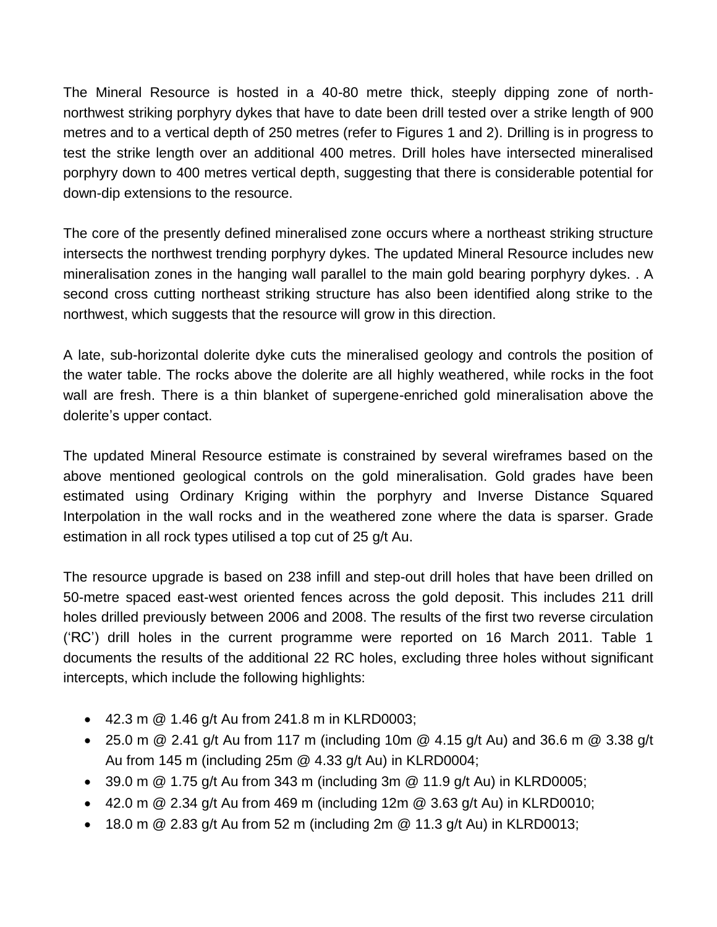The Mineral Resource is hosted in a 40-80 metre thick, steeply dipping zone of northnorthwest striking porphyry dykes that have to date been drill tested over a strike length of 900 metres and to a vertical depth of 250 metres (refer to Figures 1 and 2). Drilling is in progress to test the strike length over an additional 400 metres. Drill holes have intersected mineralised porphyry down to 400 metres vertical depth, suggesting that there is considerable potential for down-dip extensions to the resource.

The core of the presently defined mineralised zone occurs where a northeast striking structure intersects the northwest trending porphyry dykes. The updated Mineral Resource includes new mineralisation zones in the hanging wall parallel to the main gold bearing porphyry dykes. . A second cross cutting northeast striking structure has also been identified along strike to the northwest, which suggests that the resource will grow in this direction.

A late, sub-horizontal dolerite dyke cuts the mineralised geology and controls the position of the water table. The rocks above the dolerite are all highly weathered, while rocks in the foot wall are fresh. There is a thin blanket of supergene-enriched gold mineralisation above the dolerite's upper contact.

The updated Mineral Resource estimate is constrained by several wireframes based on the above mentioned geological controls on the gold mineralisation. Gold grades have been estimated using Ordinary Kriging within the porphyry and Inverse Distance Squared Interpolation in the wall rocks and in the weathered zone where the data is sparser. Grade estimation in all rock types utilised a top cut of 25 g/t Au.

The resource upgrade is based on 238 infill and step-out drill holes that have been drilled on 50-metre spaced east-west oriented fences across the gold deposit. This includes 211 drill holes drilled previously between 2006 and 2008. The results of the first two reverse circulation ("RC") drill holes in the current programme were reported on 16 March 2011. Table 1 documents the results of the additional 22 RC holes, excluding three holes without significant intercepts, which include the following highlights:

- $\bullet$  42.3 m  $\circledR$  1.46 g/t Au from 241.8 m in KLRD0003;
- 25.0 m  $\omega$  2.41 g/t Au from 117 m (including 10m  $\omega$  4.15 g/t Au) and 36.6 m  $\omega$  3.38 g/t Au from 145 m (including 25m @ 4.33 g/t Au) in KLRD0004;
- $\bullet$  39.0 m @ 1.75 g/t Au from 343 m (including 3m @ 11.9 g/t Au) in KLRD0005;
- $\bullet$  42.0 m @ 2.34 g/t Au from 469 m (including 12m @ 3.63 g/t Au) in KLRD0010;
- $\bullet$  18.0 m @ 2.83 g/t Au from 52 m (including 2m @ 11.3 g/t Au) in KLRD0013;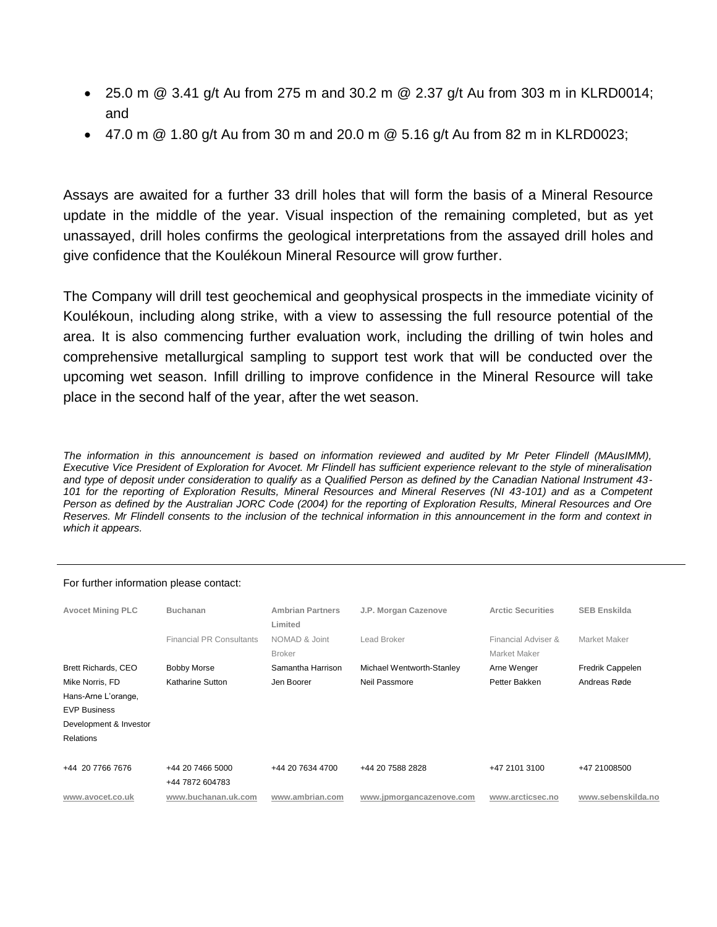- 25.0 m  $\textcircled{a}$  3.41 g/t Au from 275 m and 30.2 m  $\textcircled{a}$  2.37 g/t Au from 303 m in KLRD0014; and
- $\bullet$  47.0 m @ 1.80 g/t Au from 30 m and 20.0 m @ 5.16 g/t Au from 82 m in KLRD0023;

Assays are awaited for a further 33 drill holes that will form the basis of a Mineral Resource update in the middle of the year. Visual inspection of the remaining completed, but as yet unassayed, drill holes confirms the geological interpretations from the assayed drill holes and give confidence that the Koulékoun Mineral Resource will grow further.

The Company will drill test geochemical and geophysical prospects in the immediate vicinity of Koulékoun, including along strike, with a view to assessing the full resource potential of the area. It is also commencing further evaluation work, including the drilling of twin holes and comprehensive metallurgical sampling to support test work that will be conducted over the upcoming wet season. Infill drilling to improve confidence in the Mineral Resource will take place in the second half of the year, after the wet season.

The information in this announcement is based on information reviewed and audited by Mr Peter Flindell (MAusIMM), *Executive Vice President of Exploration for Avocet. Mr Flindell has sufficient experience relevant to the style of mineralisation and type of deposit under consideration to qualify as a Qualified Person as defined by the Canadian National Instrument 43- 101 for the reporting of Exploration Results, Mineral Resources and Mineral Reserves (NI 43-101) and as a Competent Person as defined by the Australian JORC Code (2004) for the reporting of Exploration Results, Mineral Resources and Ore Reserves. Mr Flindell consents to the inclusion of the technical information in this announcement in the form and context in which it appears.* 

| <b>Avocet Mining PLC</b> | <b>Buchanan</b>                     | <b>Ambrian Partners</b><br>Limited | J.P. Morgan Cazenove      | <b>Arctic Securities</b>            | <b>SEB Enskilda</b> |  |
|--------------------------|-------------------------------------|------------------------------------|---------------------------|-------------------------------------|---------------------|--|
|                          | <b>Financial PR Consultants</b>     | NOMAD & Joint<br><b>Broker</b>     | Lead Broker               | Financial Adviser &<br>Market Maker | Market Maker        |  |
| Brett Richards, CEO      | <b>Bobby Morse</b>                  | Samantha Harrison                  | Michael Wentworth-Stanley | Arne Wenger                         | Fredrik Cappelen    |  |
| Mike Norris, FD          | Katharine Sutton                    | Jen Boorer                         | Neil Passmore             | Petter Bakken                       | Andreas Røde        |  |
| Hans-Arne L'orange,      |                                     |                                    |                           |                                     |                     |  |
| <b>EVP Business</b>      |                                     |                                    |                           |                                     |                     |  |
| Development & Investor   |                                     |                                    |                           |                                     |                     |  |
| <b>Relations</b>         |                                     |                                    |                           |                                     |                     |  |
| +44 20 7766 7676         | +44 20 7466 5000<br>+44 7872 604783 | +44 20 7634 4700                   | +44 20 7588 2828          | +47 2101 3100                       | +47 21008500        |  |
| www.avocet.co.uk         | www.buchanan.uk.com                 | www.ambrian.com                    | www.jpmorgancazenove.com  | www.arcticsec.no                    | www.sebenskilda.no  |  |

#### For further information please contact: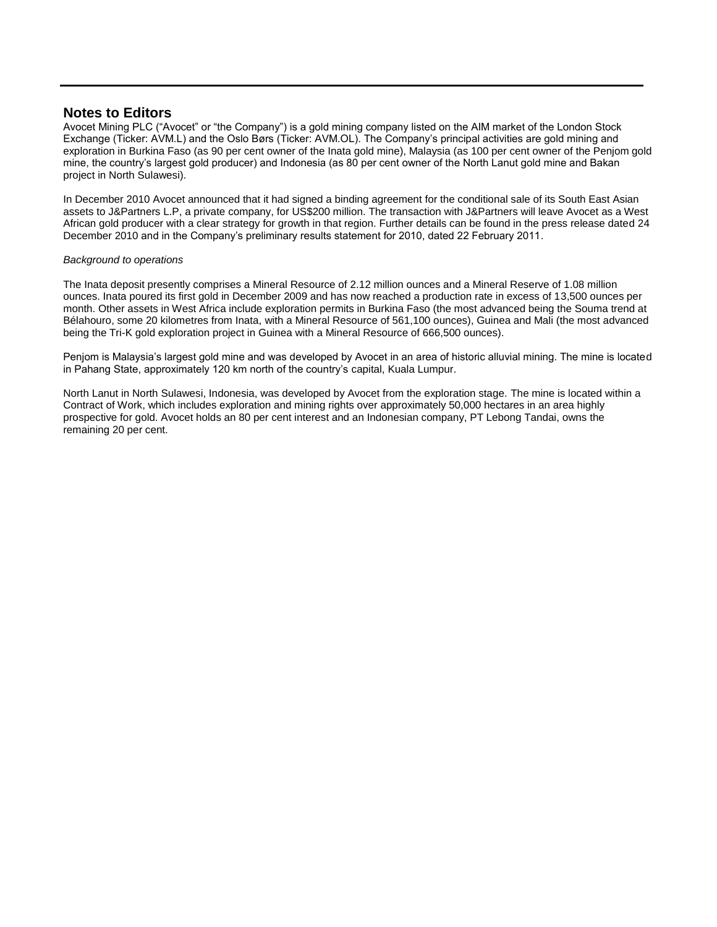### **Notes to Editors**

Avocet Mining PLC ("Avocet" or "the Company") is a gold mining company listed on the AIM market of the London Stock Exchange (Ticker: AVM.L) and the Oslo Børs (Ticker: AVM.OL). The Company"s principal activities are gold mining and exploration in Burkina Faso (as 90 per cent owner of the Inata gold mine), Malaysia (as 100 per cent owner of the Penjom gold mine, the country"s largest gold producer) and Indonesia (as 80 per cent owner of the North Lanut gold mine and Bakan project in North Sulawesi).

In December 2010 Avocet announced that it had signed a binding agreement for the conditional sale of its South East Asian assets to J&Partners L.P, a private company, for US\$200 million. The transaction with J&Partners will leave Avocet as a West African gold producer with a clear strategy for growth in that region. Further details can be found in the press release dated 24 December 2010 and in the Company"s preliminary results statement for 2010, dated 22 February 2011.

#### *Background to operations*

The Inata deposit presently comprises a Mineral Resource of 2.12 million ounces and a Mineral Reserve of 1.08 million ounces. Inata poured its first gold in December 2009 and has now reached a production rate in excess of 13,500 ounces per month. Other assets in West Africa include exploration permits in Burkina Faso (the most advanced being the Souma trend at Bélahouro, some 20 kilometres from Inata, with a Mineral Resource of 561,100 ounces), Guinea and Mali (the most advanced being the Tri-K gold exploration project in Guinea with a Mineral Resource of 666,500 ounces).

Penjom is Malaysia"s largest gold mine and was developed by Avocet in an area of historic alluvial mining. The mine is located in Pahang State, approximately 120 km north of the country"s capital, Kuala Lumpur.

North Lanut in North Sulawesi, Indonesia, was developed by Avocet from the exploration stage. The mine is located within a Contract of Work, which includes exploration and mining rights over approximately 50,000 hectares in an area highly prospective for gold. Avocet holds an 80 per cent interest and an Indonesian company, PT Lebong Tandai, owns the remaining 20 per cent.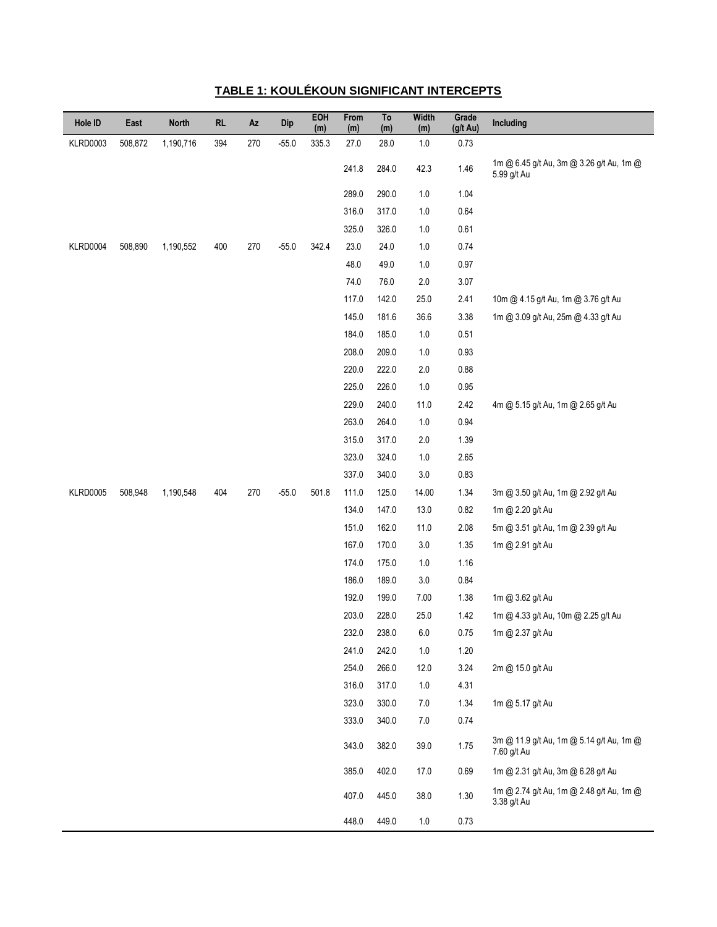| Hole ID         | East    | <b>North</b> | RL  | Az  | Dip     | EOH<br>(m) | From<br>(m) | To<br>(m) | Width<br>(m) | Grade<br>(g/t Au) | Including                                               |
|-----------------|---------|--------------|-----|-----|---------|------------|-------------|-----------|--------------|-------------------|---------------------------------------------------------|
| KLRD0003        | 508,872 | 1,190,716    | 394 | 270 | $-55.0$ | 335.3      | 27.0        | 28.0      | $1.0\,$      | 0.73              |                                                         |
|                 |         |              |     |     |         |            | 241.8       | 284.0     | 42.3         | 1.46              | 1m @ 6.45 g/t Au, 3m @ 3.26 g/t Au, 1m @<br>5.99 g/t Au |
|                 |         |              |     |     |         |            | 289.0       | 290.0     | $1.0\,$      | 1.04              |                                                         |
|                 |         |              |     |     |         |            | 316.0       | 317.0     | $1.0\,$      | 0.64              |                                                         |
|                 |         |              |     |     |         |            | 325.0       | 326.0     | $1.0\,$      | 0.61              |                                                         |
| KLRD0004        | 508,890 | 1,190,552    | 400 | 270 | $-55.0$ | 342.4      | 23.0        | 24.0      | $1.0\,$      | 0.74              |                                                         |
|                 |         |              |     |     |         |            | 48.0        | 49.0      | $1.0\,$      | 0.97              |                                                         |
|                 |         |              |     |     |         |            | 74.0        | 76.0      | $2.0\,$      | 3.07              |                                                         |
|                 |         |              |     |     |         |            | 117.0       | 142.0     | 25.0         | 2.41              | 10m @ 4.15 g/t Au, 1m @ 3.76 g/t Au                     |
|                 |         |              |     |     |         |            | 145.0       | 181.6     | 36.6         | 3.38              | 1m @ 3.09 g/t Au, 25m @ 4.33 g/t Au                     |
|                 |         |              |     |     |         |            | 184.0       | 185.0     | $1.0\,$      | 0.51              |                                                         |
|                 |         |              |     |     |         |            | 208.0       | 209.0     | $1.0\,$      | 0.93              |                                                         |
|                 |         |              |     |     |         |            | 220.0       | 222.0     | $2.0\,$      | 0.88              |                                                         |
|                 |         |              |     |     |         |            | 225.0       | 226.0     | $1.0\,$      | 0.95              |                                                         |
|                 |         |              |     |     |         |            | 229.0       | 240.0     | 11.0         | 2.42              | 4m @ 5.15 g/t Au, 1m @ 2.65 g/t Au                      |
|                 |         |              |     |     |         |            | 263.0       | 264.0     | $1.0\,$      | 0.94              |                                                         |
|                 |         |              |     |     |         |            | 315.0       | 317.0     | $2.0\,$      | 1.39              |                                                         |
|                 |         |              |     |     |         |            | 323.0       | 324.0     | $1.0\,$      | 2.65              |                                                         |
|                 |         |              |     |     |         |            | 337.0       | 340.0     | $3.0\,$      | 0.83              |                                                         |
| <b>KLRD0005</b> | 508,948 | 1,190,548    | 404 | 270 | $-55.0$ | 501.8      | 111.0       | 125.0     | 14.00        | 1.34              | 3m @ 3.50 g/t Au, 1m @ 2.92 g/t Au                      |
|                 |         |              |     |     |         |            | 134.0       | 147.0     | 13.0         | 0.82              | 1m @ 2.20 g/t Au                                        |
|                 |         |              |     |     |         |            | 151.0       | 162.0     | 11.0         | 2.08              | 5m @ 3.51 g/t Au, 1m @ 2.39 g/t Au                      |
|                 |         |              |     |     |         |            | 167.0       | 170.0     | $3.0\,$      | 1.35              | 1m @ 2.91 g/t Au                                        |
|                 |         |              |     |     |         |            | 174.0       | 175.0     | $1.0\,$      | 1.16              |                                                         |
|                 |         |              |     |     |         |            | 186.0       | 189.0     | $3.0\,$      | 0.84              |                                                         |
|                 |         |              |     |     |         |            | 192.0       | 199.0     | 7.00         | 1.38              | 1m @ 3.62 g/t Au                                        |
|                 |         |              |     |     |         |            | 203.0       | 228.0     | 25.0         | 1.42              | 1m @ 4.33 g/t Au, 10m @ 2.25 g/t Au                     |
|                 |         |              |     |     |         |            | 232.0       | 238.0     | $6.0\,$      | 0.75              | 1m @ 2.37 g/t Au                                        |
|                 |         |              |     |     |         |            | 241.0       | 242.0     | $1.0$        | 1.20              |                                                         |
|                 |         |              |     |     |         |            | 254.0       | 266.0     | 12.0         | 3.24              | 2m @ 15.0 g/t Au                                        |
|                 |         |              |     |     |         |            | 316.0       | 317.0     | $1.0\,$      | 4.31              |                                                         |
|                 |         |              |     |     |         |            | 323.0       | 330.0     | $7.0\,$      | 1.34              | 1m @ 5.17 g/t Au                                        |
|                 |         |              |     |     |         |            | 333.0       | 340.0     | $7.0\,$      | 0.74              |                                                         |
|                 |         |              |     |     |         |            | 343.0       | 382.0     | 39.0         | 1.75              | 3m @ 11.9 g/t Au, 1m @ 5.14 g/t Au, 1m @<br>7.60 g/t Au |
|                 |         |              |     |     |         |            | 385.0       | 402.0     | 17.0         | 0.69              | 1m @ 2.31 g/t Au, 3m @ 6.28 g/t Au                      |
|                 |         |              |     |     |         |            | 407.0       | 445.0     | 38.0         | 1.30              | 1m @ 2.74 g/t Au, 1m @ 2.48 g/t Au, 1m @<br>3.38 g/t Au |
|                 |         |              |     |     |         |            | 448.0       | 449.0     | $1.0\,$      | 0.73              |                                                         |

## **TABLE 1: KOULÉKOUN SIGNIFICANT INTERCEPTS**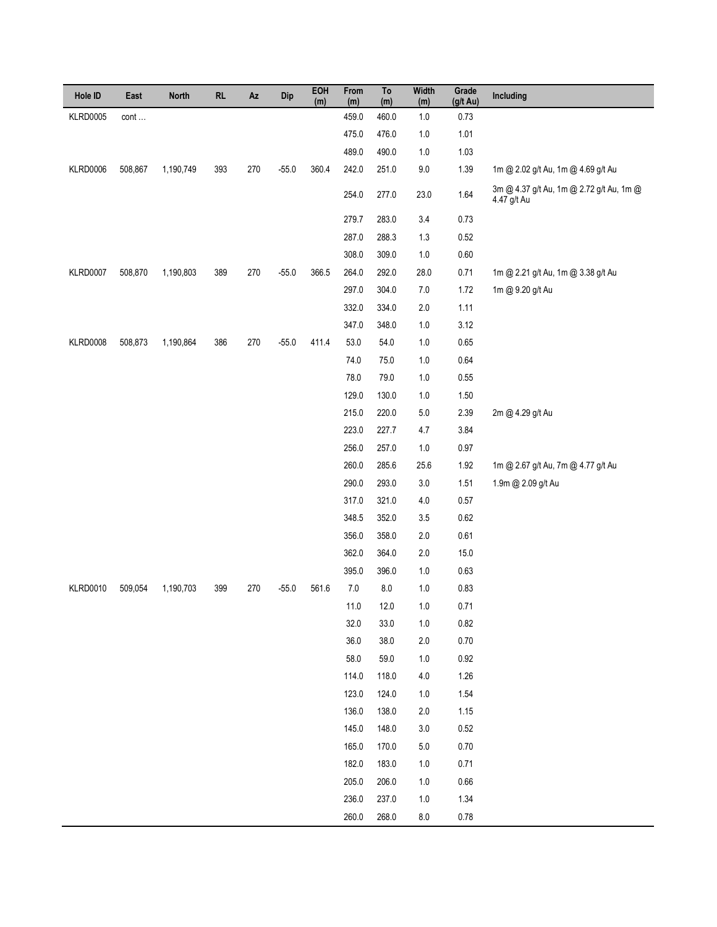| Hole ID         | East    | <b>North</b> | RL  | Az  | Dip     | EOH<br>(m) | From<br>(m) | To<br>(m) | <b>Width</b><br>(m) | Grade<br>$(g/t \text{ Au})$ | Including                                               |
|-----------------|---------|--------------|-----|-----|---------|------------|-------------|-----------|---------------------|-----------------------------|---------------------------------------------------------|
| <b>KLRD0005</b> | cont    |              |     |     |         |            | 459.0       | 460.0     | $1.0$               | 0.73                        |                                                         |
|                 |         |              |     |     |         |            | 475.0       | 476.0     | 1.0                 | 1.01                        |                                                         |
|                 |         |              |     |     |         |            | 489.0       | 490.0     | $1.0$               | 1.03                        |                                                         |
| KLRD0006        | 508,867 | 1,190,749    | 393 | 270 | $-55.0$ | 360.4      | 242.0       | 251.0     | $9.0\,$             | 1.39                        | 1m @ 2.02 g/t Au, 1m @ 4.69 g/t Au                      |
|                 |         |              |     |     |         |            | 254.0       | 277.0     | 23.0                | $1.64$                      | 3m @ 4.37 g/t Au, 1m @ 2.72 g/t Au, 1m @<br>4.47 g/t Au |
|                 |         |              |     |     |         |            | 279.7       | 283.0     | 3.4                 | 0.73                        |                                                         |
|                 |         |              |     |     |         |            | 287.0       | 288.3     | 1.3                 | 0.52                        |                                                         |
|                 |         |              |     |     |         |            | 308.0       | 309.0     | $1.0$               | $0.60\,$                    |                                                         |
| <b>KLRD0007</b> | 508,870 | 1,190,803    | 389 | 270 | $-55.0$ | 366.5      | 264.0       | 292.0     | 28.0                | 0.71                        | 1m @ 2.21 g/t Au, 1m @ 3.38 g/t Au                      |
|                 |         |              |     |     |         |            | 297.0       | 304.0     | $7.0\,$             | 1.72                        | 1m @ 9.20 g/t Au                                        |
|                 |         |              |     |     |         |            | 332.0       | 334.0     | $2.0\,$             | 1.11                        |                                                         |
|                 |         |              |     |     |         |            | 347.0       | 348.0     | $1.0$               | 3.12                        |                                                         |
| KLRD0008        | 508,873 | 1,190,864    | 386 | 270 | $-55.0$ | 411.4      | 53.0        | 54.0      | $1.0$               | $0.65\,$                    |                                                         |
|                 |         |              |     |     |         |            | 74.0        | 75.0      | $1.0$               | 0.64                        |                                                         |
|                 |         |              |     |     |         |            | 78.0        | 79.0      | $1.0$               | $0.55\,$                    |                                                         |
|                 |         |              |     |     |         |            | 129.0       | 130.0     | $1.0$               | $1.50\,$                    |                                                         |
|                 |         |              |     |     |         |            | 215.0       | 220.0     | $5.0\,$             | 2.39                        | 2m @ 4.29 g/t Au                                        |
|                 |         |              |     |     |         |            | 223.0       | 227.7     | 4.7                 | 3.84                        |                                                         |
|                 |         |              |     |     |         |            | 256.0       | 257.0     | $1.0$               | $0.97\,$                    |                                                         |
|                 |         |              |     |     |         |            | 260.0       | 285.6     | 25.6                | 1.92                        | 1m @ 2.67 g/t Au, 7m @ 4.77 g/t Au                      |
|                 |         |              |     |     |         |            | 290.0       | 293.0     | $3.0\,$             | 1.51                        | 1.9m @ 2.09 g/t Au                                      |
|                 |         |              |     |     |         |            | 317.0       | 321.0     | $4.0\,$             | 0.57                        |                                                         |
|                 |         |              |     |     |         |            | 348.5       | 352.0     | 3.5                 | 0.62                        |                                                         |
|                 |         |              |     |     |         |            | 356.0       | 358.0     | $2.0\,$             | 0.61                        |                                                         |
|                 |         |              |     |     |         |            | 362.0       | 364.0     | $2.0\,$             | 15.0                        |                                                         |
|                 |         |              |     |     |         |            | 395.0       | 396.0     | $1.0$               | 0.63                        |                                                         |
| <b>KLRD0010</b> | 509,054 | 1,190,703    | 399 | 270 | $-55.0$ | 561.6      | $7.0\,$     | $\bf 8.0$ | $1.0$               | 0.83                        |                                                         |
|                 |         |              |     |     |         |            | 11.0        | 12.0      | 1.0                 | 0.71                        |                                                         |
|                 |         |              |     |     |         |            | 32.0        | 33.0      | 1.0                 | 0.82                        |                                                         |
|                 |         |              |     |     |         |            | 36.0        | 38.0      | 2.0                 | 0.70                        |                                                         |
|                 |         |              |     |     |         |            | 58.0        | 59.0      | 1.0                 | 0.92                        |                                                         |
|                 |         |              |     |     |         |            | 114.0       | 118.0     | 4.0                 | 1.26                        |                                                         |
|                 |         |              |     |     |         |            | 123.0       | 124.0     | 1.0                 | 1.54                        |                                                         |
|                 |         |              |     |     |         |            | 136.0       | 138.0     | 2.0                 | 1.15                        |                                                         |
|                 |         |              |     |     |         |            | 145.0       | 148.0     | 3.0                 | $0.52\,$                    |                                                         |
|                 |         |              |     |     |         |            | 165.0       | 170.0     | 5.0                 | 0.70                        |                                                         |
|                 |         |              |     |     |         |            | 182.0       | 183.0     | 1.0                 | 0.71                        |                                                         |
|                 |         |              |     |     |         |            | 205.0       | 206.0     | 1.0                 | $0.66\,$                    |                                                         |
|                 |         |              |     |     |         |            | 236.0       | 237.0     | 1.0                 | 1.34                        |                                                         |
|                 |         |              |     |     |         |            | 260.0       | 268.0     | 8.0                 | 0.78                        |                                                         |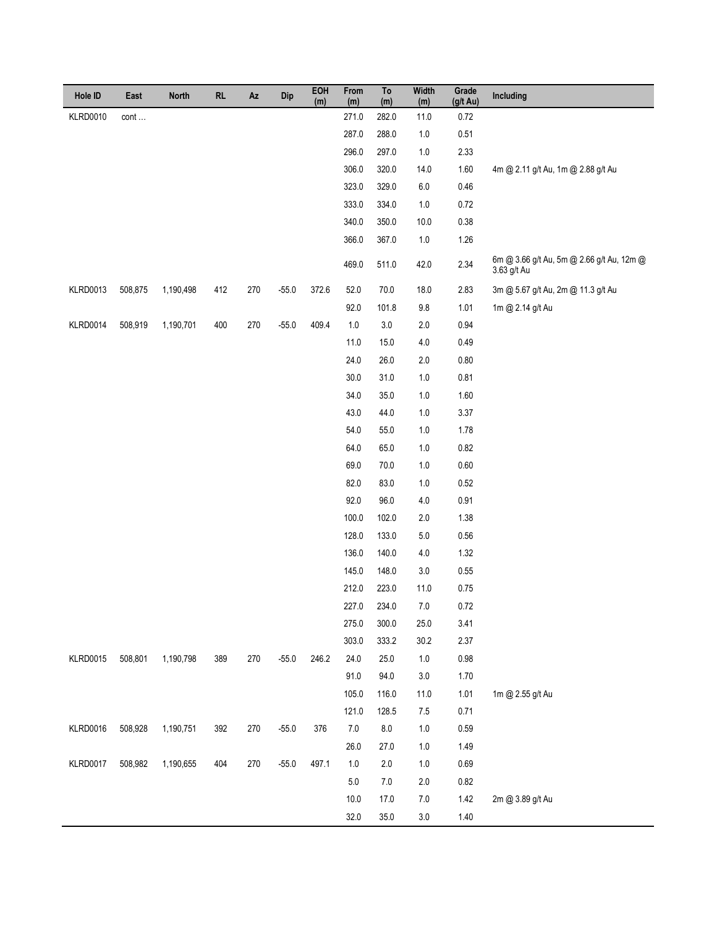| Hole ID         | East    | <b>North</b> | RL  | $\mathsf{Az}$ | Dip     | EOH<br>(m) | From<br>(m) | To<br>(m) | <b>Width</b><br>(m) | Grade<br>$(g/t \text{ Au})$ | Including                                                |
|-----------------|---------|--------------|-----|---------------|---------|------------|-------------|-----------|---------------------|-----------------------------|----------------------------------------------------------|
| <b>KLRD0010</b> | cont    |              |     |               |         |            | 271.0       | 282.0     | 11.0                | 0.72                        |                                                          |
|                 |         |              |     |               |         |            | 287.0       | 288.0     | $1.0$               | 0.51                        |                                                          |
|                 |         |              |     |               |         |            | 296.0       | 297.0     | $1.0$               | 2.33                        |                                                          |
|                 |         |              |     |               |         |            | 306.0       | 320.0     | 14.0                | 1.60                        | 4m @ 2.11 g/t Au, 1m @ 2.88 g/t Au                       |
|                 |         |              |     |               |         |            | 323.0       | 329.0     | $6.0\,$             | 0.46                        |                                                          |
|                 |         |              |     |               |         |            | 333.0       | 334.0     | $1.0\,$             | 0.72                        |                                                          |
|                 |         |              |     |               |         |            | 340.0       | 350.0     | 10.0                | 0.38                        |                                                          |
|                 |         |              |     |               |         |            | 366.0       | 367.0     | $1.0$               | 1.26                        |                                                          |
|                 |         |              |     |               |         |            | 469.0       | 511.0     | 42.0                | 2.34                        | 6m @ 3.66 g/t Au, 5m @ 2.66 g/t Au, 12m @<br>3.63 g/t Au |
| <b>KLRD0013</b> | 508,875 | 1,190,498    | 412 | 270           | $-55.0$ | 372.6      | 52.0        | 70.0      | $18.0$              | 2.83                        | 3m @ 5.67 g/t Au, 2m @ 11.3 g/t Au                       |
|                 |         |              |     |               |         |            | 92.0        | 101.8     | $9.8\,$             | 1.01                        | 1m @ 2.14 g/t Au                                         |
| KLRD0014        | 508,919 | 1,190,701    | 400 | 270           | $-55.0$ | 409.4      | $1.0\,$     | $3.0\,$   | $2.0\,$             | 0.94                        |                                                          |
|                 |         |              |     |               |         |            | 11.0        | 15.0      | $4.0\,$             | 0.49                        |                                                          |
|                 |         |              |     |               |         |            | 24.0        | 26.0      | $2.0\,$             | 0.80                        |                                                          |
|                 |         |              |     |               |         |            | 30.0        | 31.0      | $1.0$               | 0.81                        |                                                          |
|                 |         |              |     |               |         |            | 34.0        | 35.0      | $1.0$               | 1.60                        |                                                          |
|                 |         |              |     |               |         |            | 43.0        | 44.0      | $1.0$               | 3.37                        |                                                          |
|                 |         |              |     |               |         |            | 54.0        | 55.0      | $1.0$               | 1.78                        |                                                          |
|                 |         |              |     |               |         |            | 64.0        | 65.0      | $1.0$               | 0.82                        |                                                          |
|                 |         |              |     |               |         |            | 69.0        | 70.0      | $1.0$               | 0.60                        |                                                          |
|                 |         |              |     |               |         |            | 82.0        | 83.0      | 1.0                 | 0.52                        |                                                          |
|                 |         |              |     |               |         |            | 92.0        | 96.0      | $4.0$               | 0.91                        |                                                          |
|                 |         |              |     |               |         |            | 100.0       | 102.0     | $2.0\,$             | 1.38                        |                                                          |
|                 |         |              |     |               |         |            | 128.0       | 133.0     | $5.0\,$             | 0.56                        |                                                          |
|                 |         |              |     |               |         |            | 136.0       | 140.0     | $4.0\,$             | 1.32                        |                                                          |
|                 |         |              |     |               |         |            | 145.0       | 148.0     | $3.0\,$             | $0.55\,$                    |                                                          |
|                 |         |              |     |               |         |            | 212.0       | 223.0     | 11.0                | 0.75                        |                                                          |
|                 |         |              |     |               |         |            | 227.0       | 234.0     | $7.0\,$             | 0.72                        |                                                          |
|                 |         |              |     |               |         |            | 275.0       | 300.0     | $25.0\,$            | 3.41                        |                                                          |
|                 |         |              |     |               |         |            | 303.0       | 333.2     | 30.2                | 2.37                        |                                                          |
| <b>KLRD0015</b> | 508,801 | 1,190,798    | 389 | 270           | $-55.0$ | 246.2      | 24.0        | $25.0\,$  | $1.0\,$             | 0.98                        |                                                          |
|                 |         |              |     |               |         |            | 91.0        | 94.0      | $3.0\,$             | 1.70                        |                                                          |
|                 |         |              |     |               |         |            | 105.0       | 116.0     | 11.0                | 1.01                        | 1m @ 2.55 g/t Au                                         |
|                 |         |              |     |               |         |            | 121.0       | 128.5     | $7.5$               | 0.71                        |                                                          |
| KLRD0016        | 508,928 | 1,190,751    | 392 | 270           | $-55.0$ | 376        | $7.0\,$     | $\bf 8.0$ | $1.0\,$             | 0.59                        |                                                          |
|                 |         |              |     |               |         |            | 26.0        | 27.0      | $1.0$               | 1.49                        |                                                          |
| KLRD0017        | 508,982 | 1,190,655    | 404 | 270           | $-55.0$ | 497.1      | $1.0\,$     | $2.0\,$   | $1.0\,$             | 0.69                        |                                                          |
|                 |         |              |     |               |         |            | $5.0\,$     | 7.0       | $2.0\,$             | 0.82                        |                                                          |
|                 |         |              |     |               |         |            | 10.0        | 17.0      | $7.0\,$             | $1.42$                      | 2m @ 3.89 g/t Au                                         |
|                 |         |              |     |               |         |            | 32.0        | 35.0      | $3.0\,$             | 1.40                        |                                                          |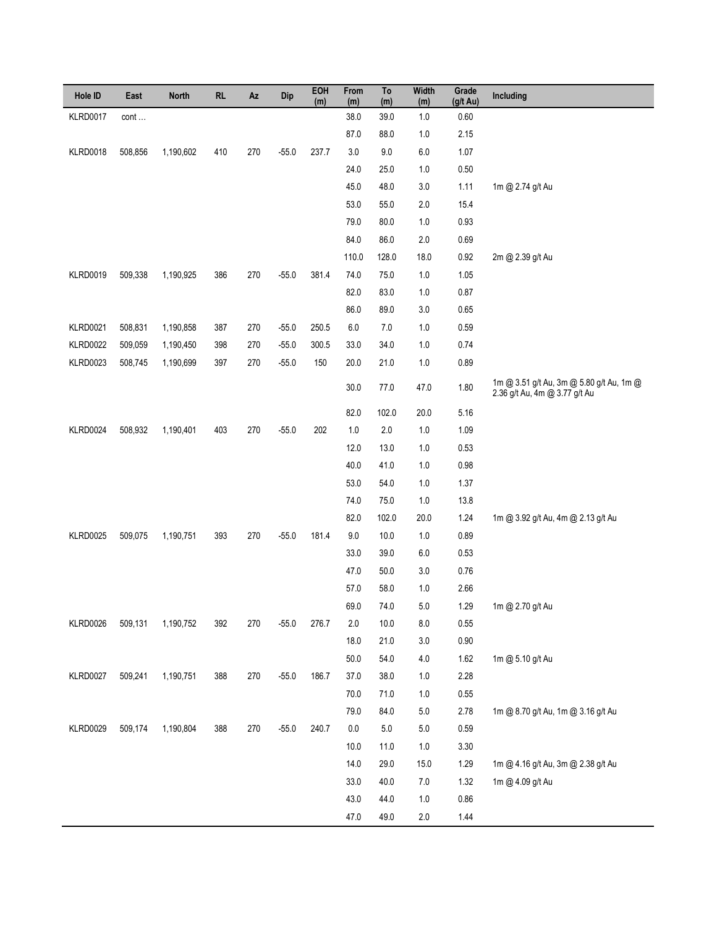| Hole ID         | East    | <b>North</b> | RL  | Az  | Dip     | EOH<br>(m) | From<br>(m) | To<br>(m) | <b>Width</b><br>(m) | Grade<br>(g/t Au) | Including                                                                 |
|-----------------|---------|--------------|-----|-----|---------|------------|-------------|-----------|---------------------|-------------------|---------------------------------------------------------------------------|
| <b>KLRD0017</b> | cont    |              |     |     |         |            | 38.0        | 39.0      | $1.0$               | 0.60              |                                                                           |
|                 |         |              |     |     |         |            | 87.0        | 88.0      | $1.0$               | 2.15              |                                                                           |
| <b>KLRD0018</b> | 508,856 | 1,190,602    | 410 | 270 | $-55.0$ | 237.7      | $3.0\,$     | 9.0       | $6.0$               | 1.07              |                                                                           |
|                 |         |              |     |     |         |            | 24.0        | 25.0      | $1.0$               | 0.50              |                                                                           |
|                 |         |              |     |     |         |            | 45.0        | 48.0      | $3.0\,$             | 1.11              | 1m @ 2.74 g/t Au                                                          |
|                 |         |              |     |     |         |            | 53.0        | 55.0      | $2.0\,$             | 15.4              |                                                                           |
|                 |         |              |     |     |         |            | 79.0        | 80.0      | $1.0$               | 0.93              |                                                                           |
|                 |         |              |     |     |         |            | 84.0        | 86.0      | $2.0\,$             | 0.69              |                                                                           |
|                 |         |              |     |     |         |            | 110.0       | 128.0     | 18.0                | 0.92              | 2m @ 2.39 g/t Au                                                          |
| <b>KLRD0019</b> | 509,338 | 1,190,925    | 386 | 270 | $-55.0$ | 381.4      | 74.0        | 75.0      | $1.0$               | 1.05              |                                                                           |
|                 |         |              |     |     |         |            | 82.0        | 83.0      | $1.0$               | 0.87              |                                                                           |
|                 |         |              |     |     |         |            | 86.0        | 89.0      | $3.0\,$             | 0.65              |                                                                           |
| <b>KLRD0021</b> | 508,831 | 1,190,858    | 387 | 270 | $-55.0$ | 250.5      | $6.0\,$     | $7.0$     | $1.0$               | 0.59              |                                                                           |
| <b>KLRD0022</b> | 509,059 | 1,190,450    | 398 | 270 | $-55.0$ | 300.5      | 33.0        | 34.0      | 1.0                 | 0.74              |                                                                           |
| KLRD0023        | 508,745 | 1,190,699    | 397 | 270 | $-55.0$ | 150        | 20.0        | 21.0      | $1.0$               | 0.89              |                                                                           |
|                 |         |              |     |     |         |            | 30.0        | 77.0      | 47.0                | 1.80              | 1m @ 3.51 g/t Au, 3m @ 5.80 g/t Au, 1m @<br>2.36 g/t Au, 4m @ 3.77 g/t Au |
|                 |         |              |     |     |         |            | 82.0        | 102.0     | 20.0                | 5.16              |                                                                           |
| KLRD0024        | 508,932 | 1,190,401    | 403 | 270 | $-55.0$ | 202        | $1.0\,$     | $2.0$     | $1.0$               | 1.09              |                                                                           |
|                 |         |              |     |     |         |            | 12.0        | 13.0      | $1.0$               | 0.53              |                                                                           |
|                 |         |              |     |     |         |            | 40.0        | 41.0      | $1.0$               | 0.98              |                                                                           |
|                 |         |              |     |     |         |            | 53.0        | 54.0      | $1.0$               | 1.37              |                                                                           |
|                 |         |              |     |     |         |            | 74.0        | 75.0      | $1.0$               | 13.8              |                                                                           |
|                 |         |              |     |     |         |            | 82.0        | 102.0     | 20.0                | 1.24              | 1m @ 3.92 g/t Au, 4m @ 2.13 g/t Au                                        |
| <b>KLRD0025</b> | 509,075 | 1,190,751    | 393 | 270 | $-55.0$ | 181.4      | $9.0\,$     | 10.0      | $1.0$               | 0.89              |                                                                           |
|                 |         |              |     |     |         |            | 33.0        | 39.0      | $6.0$               | 0.53              |                                                                           |
|                 |         |              |     |     |         |            | 47.0        | 50.0      | 3.0                 | 0.76              |                                                                           |
|                 |         |              |     |     |         |            | 57.0        | 58.0      | $1.0$               | 2.66              |                                                                           |
|                 |         |              |     |     |         |            | 69.0        | 74.0      | $5.0\,$             | 1.29              | 1m @ 2.70 g/t Au                                                          |
| KLRD0026        | 509,131 | 1,190,752    | 392 | 270 | $-55.0$ | 276.7      | $2.0\,$     | 10.0      | $8.0\,$             | 0.55              |                                                                           |
|                 |         |              |     |     |         |            | 18.0        | 21.0      | $3.0\,$             | $0.90\,$          |                                                                           |
|                 |         |              |     |     |         |            | $50.0\,$    | 54.0      | $4.0\,$             | 1.62              | 1m @ 5.10 g/t Au                                                          |
| KLRD0027        | 509,241 | 1,190,751    | 388 | 270 | $-55.0$ | 186.7      | $37.0\,$    | 38.0      | $1.0$               | 2.28              |                                                                           |
|                 |         |              |     |     |         |            | 70.0        | 71.0      | $1.0\,$             | $0.55\,$          |                                                                           |
|                 |         |              |     |     |         |            | 79.0        | 84.0      | $5.0\,$             | 2.78              | 1m @ 8.70 g/t Au, 1m @ 3.16 g/t Au                                        |
| <b>KLRD0029</b> | 509,174 | 1,190,804    | 388 | 270 | $-55.0$ | 240.7      | $0.0\,$     | $5.0\,$   | $5.0\,$             | 0.59              |                                                                           |
|                 |         |              |     |     |         |            | 10.0        | 11.0      | $1.0\,$             | $3.30\,$          |                                                                           |
|                 |         |              |     |     |         |            | 14.0        | 29.0      | 15.0                | 1.29              | 1m @ 4.16 g/t Au, 3m @ 2.38 g/t Au                                        |
|                 |         |              |     |     |         |            | 33.0        | 40.0      | $7.0\,$             | 1.32              | 1m @ 4.09 g/t Au                                                          |
|                 |         |              |     |     |         |            | 43.0        | 44.0      | $1.0\,$             | 0.86              |                                                                           |
|                 |         |              |     |     |         |            | 47.0        | 49.0      | $2.0\,$             | 1.44              |                                                                           |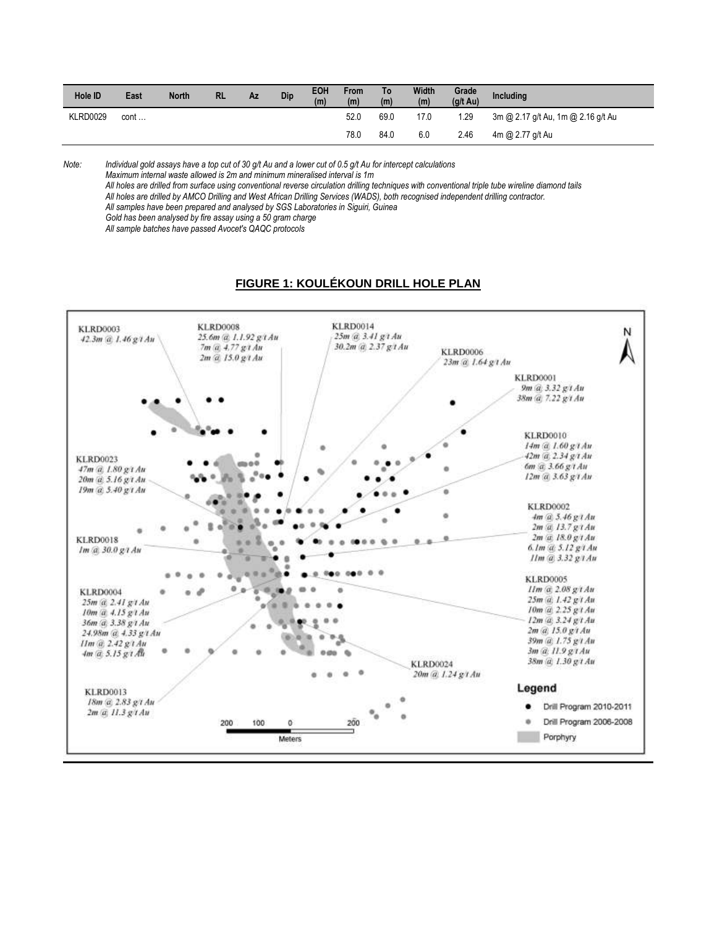| Hole ID         | East   | <b>North</b> | <b>RL</b> | Az | Dip | EOH<br>(m) | <b>From</b><br>(m) | To<br>(m) | Width<br>(m) | Grade<br>$(g/t \text{ Au})$ | <b>Including</b>                   |
|-----------------|--------|--------------|-----------|----|-----|------------|--------------------|-----------|--------------|-----------------------------|------------------------------------|
| <b>KLRD0029</b> | cont … |              |           |    |     |            | 52.0               | 69.0      | 17.0         | 1.29                        | 3m @ 2.17 g/t Au, 1m @ 2.16 g/t Au |
|                 |        |              |           |    |     |            | 78.0               | 84.0      | 6.0          | 2.46                        | 4m @ 2.77 g/t Au                   |

*Note: Individual gold assays have a top cut of 30 g/t Au and a lower cut of 0.5 g/t Au for intercept calculations*

*Maximum internal waste allowed is 2m and minimum mineralised interval is 1m*

*All holes are drilled from surface using conventional reverse circulation drilling techniques with conventional triple tube wireline diamond tails All holes are drilled by AMCO Drilling and West African Drilling Services (WADS), both recognised independent drilling contractor.* 

*All samples have been prepared and analysed by SGS Laboratories in Siguiri, Guinea*

*Gold has been analysed by fire assay using a 50 gram charge*

*All sample batches have passed Avocet's QAQC protocols*

### **FIGURE 1: KOULÉKOUN DRILL HOLE PLAN**